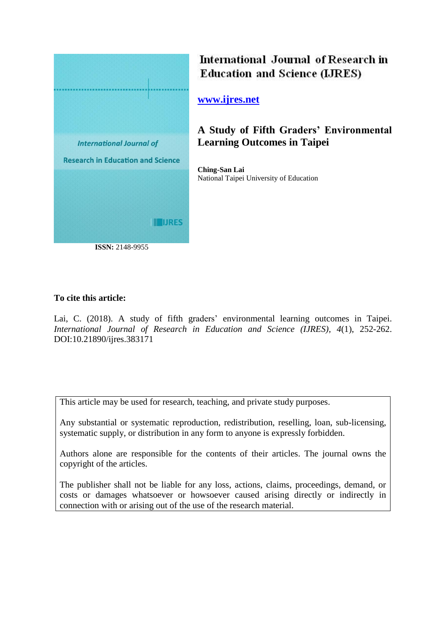

# International Journal of Research in **Education and Science (LJRES)**

**[www.ijres.net](http://www.ijres.net/)**

# **A Study of Fifth Graders' Environmental Learning Outcomes in Taipei**

**Ching-San Lai** National Taipei University of Education

## **To cite this article:**

Lai, C. (2018). A study of fifth graders' environmental learning outcomes in Taipei. *International Journal of Research in Education and Science (IJRES), 4*(1), 252-262. DOI:10.21890/ijres.383171

This article may be used for research, teaching, and private study purposes.

Any substantial or systematic reproduction, redistribution, reselling, loan, sub-licensing, systematic supply, or distribution in any form to anyone is expressly forbidden.

Authors alone are responsible for the contents of their articles. The journal owns the copyright of the articles.

The publisher shall not be liable for any loss, actions, claims, proceedings, demand, or costs or damages whatsoever or howsoever caused arising directly or indirectly in connection with or arising out of the use of the research material.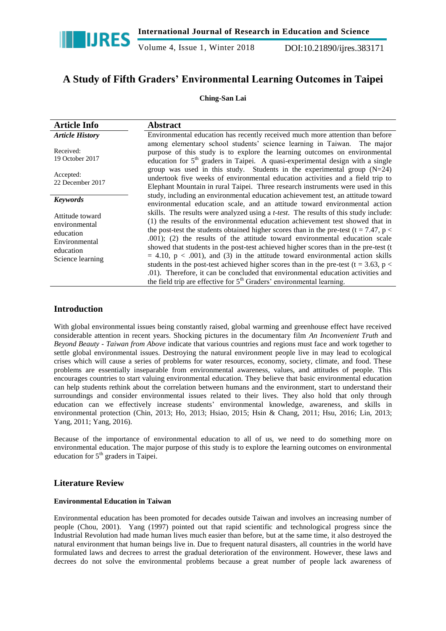

Volume 4, Issue 1, Winter 2018 DOI:10.21890/ijres.383171

## **A Study of Fifth Graders' Environmental Learning Outcomes in Taipei**

## **Ching-San Lai**

| <b>Article Info</b>                                                                             | <b>Abstract</b>                                                                                                                                                                                                                                                                                                                                                                                                                                                                                                                                                                                                                                                                                                               |
|-------------------------------------------------------------------------------------------------|-------------------------------------------------------------------------------------------------------------------------------------------------------------------------------------------------------------------------------------------------------------------------------------------------------------------------------------------------------------------------------------------------------------------------------------------------------------------------------------------------------------------------------------------------------------------------------------------------------------------------------------------------------------------------------------------------------------------------------|
| <b>Article History</b>                                                                          | Environmental education has recently received much more attention than before                                                                                                                                                                                                                                                                                                                                                                                                                                                                                                                                                                                                                                                 |
| Received:<br>19 October 2017                                                                    | among elementary school students' science learning in Taiwan. The major<br>purpose of this study is to explore the learning outcomes on environmental<br>education for $5th$ graders in Taipei. A quasi-experimental design with a single                                                                                                                                                                                                                                                                                                                                                                                                                                                                                     |
| Accepted:<br>22 December 2017                                                                   | group was used in this study. Students in the experimental group $(N=24)$<br>undertook five weeks of environmental education activities and a field trip to<br>Elephant Mountain in rural Taipei. Three research instruments were used in this                                                                                                                                                                                                                                                                                                                                                                                                                                                                                |
| <b>Keywords</b>                                                                                 | study, including an environmental education achievement test, an attitude toward<br>environmental education scale, and an attitude toward environmental action                                                                                                                                                                                                                                                                                                                                                                                                                                                                                                                                                                |
| Attitude toward<br>environmental<br>education<br>Environmental<br>education<br>Science learning | skills. The results were analyzed using a <i>t-test</i> . The results of this study include:<br>(1) the results of the environmental education achievement test showed that in<br>the post-test the students obtained higher scores than in the pre-test ( $t = 7.47$ , $p <$<br>.001); (2) the results of the attitude toward environmental education scale<br>showed that students in the post-test achieved higher scores than in the pre-test (t<br>$= 4.10$ , $p < .001$ ), and (3) in the attitude toward environmental action skills<br>students in the post-test achieved higher scores than in the pre-test ( $t = 3.63$ , $p <$<br>.01). Therefore, it can be concluded that environmental education activities and |
|                                                                                                 | the field trip are effective for $5th$ Graders' environmental learning.                                                                                                                                                                                                                                                                                                                                                                                                                                                                                                                                                                                                                                                       |

## **Introduction**

With global environmental issues being constantly raised, global warming and greenhouse effect have received considerable attention in recent years. Shocking pictures in the documentary film *An Inconvenient Truth* and *Beyond Beauty - Taiwan from Above* indicate that various countries and regions must face and work together to settle global environmental issues. Destroying the natural environment people live in may lead to ecological crises which will cause a series of problems for water resources, economy, society, climate, and food. These problems are essentially inseparable from environmental awareness, values, and attitudes of people. This encourages countries to start valuing environmental education. They believe that basic environmental education can help students rethink about the correlation between humans and the environment, start to understand their surroundings and consider environmental issues related to their lives. They also hold that only through education can we effectively increase students' environmental knowledge, awareness, and skills in environmental protection (Chin, 2013; Ho, 2013; Hsiao, 2015; Hsin & Chang, 2011; Hsu, 2016; Lin, 2013; Yang, 2011; Yang, 2016).

Because of the importance of environmental education to all of us, we need to do something more on environmental education. The major purpose of this study is to explore the learning outcomes on environmental education for  $5<sup>th</sup>$  graders in Taipei.

## **Literature Review**

## **Environmental Education in Taiwan**

Environmental education has been promoted for decades outside Taiwan and involves an increasing number of people (Chou, 2001). Yang (1997) pointed out that rapid scientific and technological progress since the Industrial Revolution had made human lives much easier than before, but at the same time, it also destroyed the natural environment that human beings live in. Due to frequent natural disasters, all countries in the world have formulated laws and decrees to arrest the gradual deterioration of the environment. However, these laws and decrees do not solve the environmental problems because a great number of people lack awareness of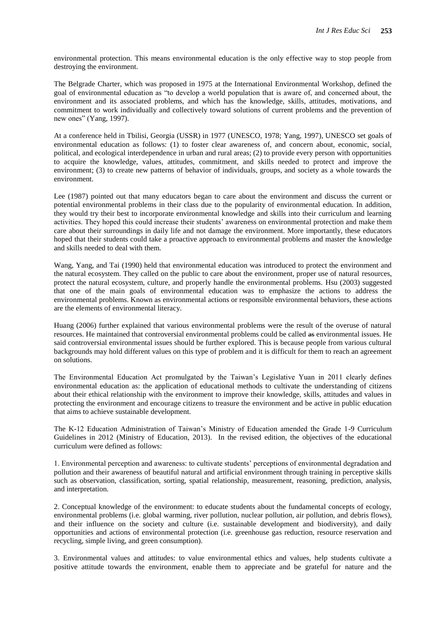environmental protection. This means environmental education is the only effective way to stop people from destroying the environment.

The Belgrade Charter, which was proposed in 1975 at the International Environmental Workshop, defined the goal of environmental education as "to develop a world population that is aware of, and concerned about, the environment and its associated problems, and which has the knowledge, skills, attitudes, motivations, and commitment to work individually and collectively toward solutions of current problems and the prevention of new ones" (Yang, 1997).

At a conference held in Tbilisi, Georgia (USSR) in 1977 (UNESCO, 1978; Yang, 1997), UNESCO set goals of environmental education as follows: (1) to foster clear awareness of, and concern about, economic, social, political, and ecological interdependence in urban and rural areas; (2) to provide every person with opportunities to acquire the knowledge, values, attitudes, commitment, and skills needed to protect and improve the environment; (3) to create new patterns of behavior of individuals, groups, and society as a whole towards the environment.

Lee (1987) pointed out that many educators began to care about the environment and discuss the current or potential environmental problems in their class due to the popularity of environmental education. In addition, they would try their best to incorporate environmental knowledge and skills into their curriculum and learning activities. They hoped this could increase their students' awareness on environmental protection and make them care about their surroundings in daily life and not damage the environment. More importantly, these educators hoped that their students could take a proactive approach to environmental problems and master the knowledge and skills needed to deal with them.

Wang, Yang, and Tai (1990) held that environmental education was introduced to protect the environment and the natural ecosystem. They called on the public to care about the environment, proper use of natural resources, protect the natural ecosystem, culture, and properly handle the environmental problems. Hsu (2003) suggested that one of the main goals of environmental education was to emphasize the actions to address the environmental problems. Known as environmental actions or responsible environmental behaviors, these actions are the elements of environmental literacy.

Huang (2006) further explained that various environmental problems were the result of the overuse of natural resources. He maintained that controversial environmental problems could be called as environmental issues. He said controversial environmental issues should be further explored. This is because people from various cultural backgrounds may hold different values on this type of problem and it is difficult for them to reach an agreement on solutions.

The Environmental Education Act promulgated by the Taiwan's Legislative Yuan in 2011 clearly defines environmental education as: the application of educational methods to cultivate the understanding of citizens about their ethical relationship with the environment to improve their knowledge, skills, attitudes and values in protecting the environment and encourage citizens to treasure the environment and be active in public education that aims to achieve sustainable development.

The K-12 Education Administration of Taiwan's Ministry of Education amended the Grade 1-9 Curriculum Guidelines in 2012 (Ministry of Education, 2013). In the revised edition, the objectives of the educational curriculum were defined as follows:

1. Environmental perception and awareness: to cultivate students' perceptions of environmental degradation and pollution and their awareness of beautiful natural and artificial environment through training in perceptive skills such as observation, classification, sorting, spatial relationship, measurement, reasoning, prediction, analysis, and interpretation.

2. Conceptual knowledge of the environment: to educate students about the fundamental concepts of ecology, environmental problems (i.e. global warming, river pollution, nuclear pollution, air pollution, and debris flows), and their influence on the society and culture (i.e. sustainable development and biodiversity), and daily opportunities and actions of environmental protection (i.e. greenhouse gas reduction, resource reservation and recycling, simple living, and green consumption).

3. Environmental values and attitudes: to value environmental ethics and values, help students cultivate a positive attitude towards the environment, enable them to appreciate and be grateful for nature and the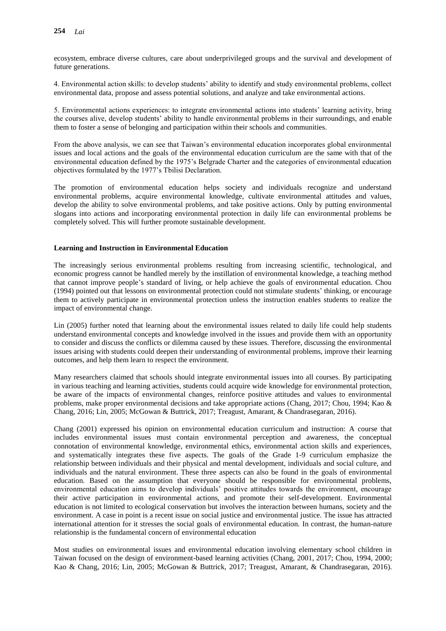ecosystem, embrace diverse cultures, care about underprivileged groups and the survival and development of future generations.

4. Environmental action skills: to develop students' ability to identify and study environmental problems, collect environmental data, propose and assess potential solutions, and analyze and take environmental actions.

5. Environmental actions experiences: to integrate environmental actions into students' learning activity, bring the courses alive, develop students' ability to handle environmental problems in their surroundings, and enable them to foster a sense of belonging and participation within their schools and communities.

From the above analysis, we can see that Taiwan's environmental education incorporates global environmental issues and local actions and the goals of the environmental education curriculum are the same with that of the environmental education defined by the 1975's Belgrade Charter and the categories of environmental education objectives formulated by the 1977's Tbilisi Declaration.

The promotion of environmental education helps society and individuals recognize and understand environmental problems, acquire environmental knowledge, cultivate environmental attitudes and values, develop the ability to solve environmental problems, and take positive actions. Only by putting environmental slogans into actions and incorporating environmental protection in daily life can environmental problems be completely solved. This will further promote sustainable development.

#### **Learning and Instruction in Environmental Education**

The increasingly serious environmental problems resulting from increasing scientific, technological, and economic progress cannot be handled merely by the instillation of environmental knowledge, a teaching method that cannot improve people's standard of living, or help achieve the goals of environmental education. Chou (1994) pointed out that lessons on environmental protection could not stimulate students' thinking, or encourage them to actively participate in environmental protection unless the instruction enables students to realize the impact of environmental change.

Lin (2005) further noted that learning about the environmental issues related to daily life could help students understand environmental concepts and knowledge involved in the issues and provide them with an opportunity to consider and discuss the conflicts or dilemma caused by these issues. Therefore, discussing the environmental issues arising with students could deepen their understanding of environmental problems, improve their learning outcomes, and help them learn to respect the environment.

Many researchers claimed that schools should integrate environmental issues into all courses. By participating in various teaching and learning activities, students could acquire wide knowledge for environmental protection, be aware of the impacts of environmental changes, reinforce positive attitudes and values to environmental problems, make proper environmental decisions and take appropriate actions (Chang, 2017; Chou, 1994; Kao & Chang, 2016; Lin, 2005; McGowan & Buttrick, 2017; Treagust, Amarant, & Chandrasegaran, 2016).

Chang (2001) expressed his opinion on environmental education curriculum and instruction: A course that includes environmental issues must contain environmental perception and awareness, the conceptual connotation of environmental knowledge, environmental ethics, environmental action skills and experiences, and systematically integrates these five aspects. The goals of the Grade 1-9 curriculum emphasize the relationship between individuals and their physical and mental development, individuals and social culture, and individuals and the natural environment. These three aspects can also be found in the goals of environmental education. Based on the assumption that everyone should be responsible for environmental problems, environmental education aims to develop individuals' positive attitudes towards the environment, encourage their active participation in environmental actions, and promote their self-development. Environmental education is not limited to ecological conservation but involves the interaction between humans, society and the environment. A case in point is a recent issue on social justice and environmental justice. The issue has attracted international attention for it stresses the social goals of environmental education. In contrast, the human-nature relationship is the fundamental concern of environmental education

Most studies on environmental issues and environmental education involving elementary school children in Taiwan focused on the design of environment-based learning activities (Chang, 2001, 2017; Chou, 1994, 2000; Kao & Chang, 2016; Lin, 2005; McGowan & Buttrick, 2017; Treagust, Amarant, & Chandrasegaran, 2016).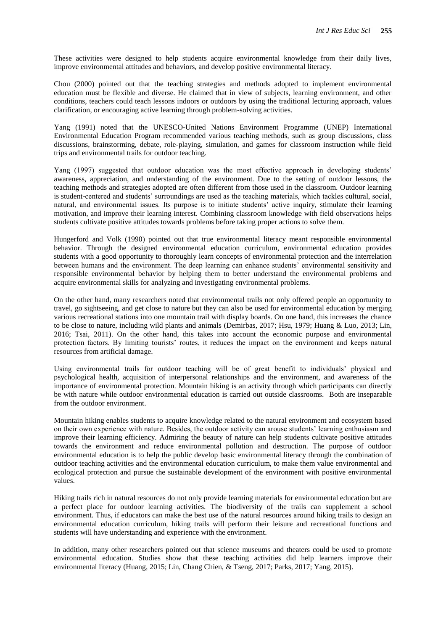These activities were designed to help students acquire environmental knowledge from their daily lives, improve environmental attitudes and behaviors, and develop positive environmental literacy.

Chou (2000) pointed out that the teaching strategies and methods adopted to implement environmental education must be flexible and diverse. He claimed that in view of subjects, learning environment, and other conditions, teachers could teach lessons indoors or outdoors by using the traditional lecturing approach, values clarification, or encouraging active learning through problem-solving activities.

Yang (1991) noted that the UNESCO-United Nations Environment Programme (UNEP) International Environmental Education Program recommended various teaching methods, such as group discussions, class discussions, brainstorming, debate, role-playing, simulation, and games for classroom instruction while field trips and environmental trails for outdoor teaching.

Yang (1997) suggested that outdoor education was the most effective approach in developing students' awareness, appreciation, and understanding of the environment. Due to the setting of outdoor lessons, the teaching methods and strategies adopted are often different from those used in the classroom. Outdoor learning is student-centered and students' surroundings are used as the teaching materials, which tackles cultural, social, natural, and environmental issues. Its purpose is to initiate students' active inquiry, stimulate their learning motivation, and improve their learning interest. Combining classroom knowledge with field observations helps students cultivate positive attitudes towards problems before taking proper actions to solve them.

Hungerford and Volk (1990) pointed out that true environmental literacy meant responsible environmental behavior. Through the designed environmental education curriculum, environmental education provides students with a good opportunity to thoroughly learn concepts of environmental protection and the interrelation between humans and the environment. The deep learning can enhance students' environmental sensitivity and responsible environmental behavior by helping them to better understand the environmental problems and acquire environmental skills for analyzing and investigating environmental problems.

On the other hand, many researchers noted that environmental trails not only offered people an opportunity to travel, go sightseeing, and get close to nature but they can also be used for environmental education by merging various recreational stations into one mountain trail with display boards. On one hand, this increases the chance to be close to nature, including wild plants and animals (Demirbas, 2017; Hsu, 1979; Huang & Luo, 2013; Lin, 2016; Tsai, 2011). On the other hand, this takes into account the economic purpose and environmental protection factors. By limiting tourists' routes, it reduces the impact on the environment and keeps natural resources from artificial damage.

Using environmental trails for outdoor teaching will be of great benefit to individuals' physical and psychological health, acquisition of interpersonal relationships and the environment, and awareness of the importance of environmental protection. Mountain hiking is an activity through which participants can directly be with nature while outdoor environmental education is carried out outside classrooms. Both are inseparable from the outdoor environment.

Mountain hiking enables students to acquire knowledge related to the natural environment and ecosystem based on their own experience with nature. Besides, the outdoor activity can arouse students' learning enthusiasm and improve their learning efficiency. Admiring the beauty of nature can help students cultivate positive attitudes towards the environment and reduce environmental pollution and destruction. The purpose of outdoor environmental education is to help the public develop basic environmental literacy through the combination of outdoor teaching activities and the environmental education curriculum, to make them value environmental and ecological protection and pursue the sustainable development of the environment with positive environmental values.

Hiking trails rich in natural resources do not only provide learning materials for environmental education but are a perfect place for outdoor learning activities. The biodiversity of the trails can supplement a school environment. Thus, if educators can make the best use of the natural resources around hiking trails to design an environmental education curriculum, hiking trails will perform their leisure and recreational functions and students will have understanding and experience with the environment.

In addition, many other researchers pointed out that science museums and theaters could be used to promote environmental education. Studies show that these teaching activities did help learners improve their environmental literacy (Huang, 2015; Lin, Chang Chien, & Tseng, 2017; Parks, 2017; Yang, 2015).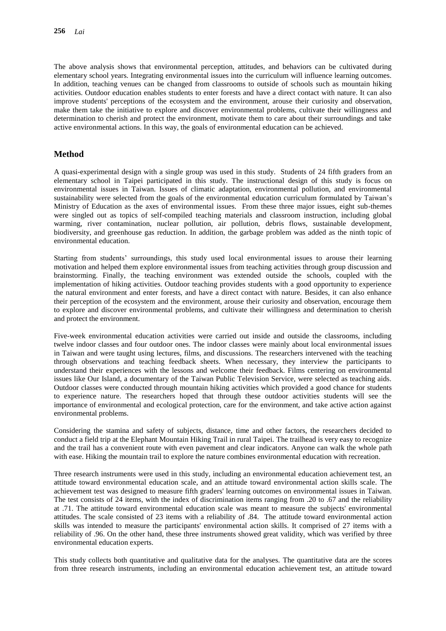The above analysis shows that environmental perception, attitudes, and behaviors can be cultivated during elementary school years. Integrating environmental issues into the curriculum will influence learning outcomes. In addition, teaching venues can be changed from classrooms to outside of schools such as mountain hiking activities. Outdoor education enables students to enter forests and have a direct contact with nature. It can also improve students' perceptions of the ecosystem and the environment, arouse their curiosity and observation, make them take the initiative to explore and discover environmental problems, cultivate their willingness and determination to cherish and protect the environment, motivate them to care about their surroundings and take active environmental actions. In this way, the goals of environmental education can be achieved.

## **Method**

A quasi-experimental design with a single group was used in this study. Students of 24 fifth graders from an elementary school in Taipei participated in this study. The instructional design of this study is focus on environmental issues in Taiwan. Issues of climatic adaptation, environmental pollution, and environmental sustainability were selected from the goals of the environmental education curriculum formulated by Taiwan's Ministry of Education as the axes of environmental issues. From these three major issues, eight sub-themes were singled out as topics of self-compiled teaching materials and classroom instruction, including global warming, river contamination, nuclear pollution, air pollution, debris flows, sustainable development, biodiversity, and greenhouse gas reduction. In addition, the garbage problem was added as the ninth topic of environmental education.

Starting from students' surroundings, this study used local environmental issues to arouse their learning motivation and helped them explore environmental issues from teaching activities through group discussion and brainstorming. Finally, the teaching environment was extended outside the schools, coupled with the implementation of hiking activities. Outdoor teaching provides students with a good opportunity to experience the natural environment and enter forests, and have a direct contact with nature. Besides, it can also enhance their perception of the ecosystem and the environment, arouse their curiosity and observation, encourage them to explore and discover environmental problems, and cultivate their willingness and determination to cherish and protect the environment.

Five-week environmental education activities were carried out inside and outside the classrooms, including twelve indoor classes and four outdoor ones. The indoor classes were mainly about local environmental issues in Taiwan and were taught using lectures, films, and discussions. The researchers intervened with the teaching through observations and teaching feedback sheets. When necessary, they interview the participants to understand their experiences with the lessons and welcome their feedback. Films centering on environmental issues like Our Island, a documentary of the Taiwan Public Television Service, were selected as teaching aids. Outdoor classes were conducted through mountain hiking activities which provided a good chance for students to experience nature. The researchers hoped that through these outdoor activities students will see the importance of environmental and ecological protection, care for the environment, and take active action against environmental problems.

Considering the stamina and safety of subjects, distance, time and other factors, the researchers decided to conduct a field trip at the Elephant Mountain Hiking Trail in rural Taipei. The trailhead is very easy to recognize and the trail has a convenient route with even pavement and clear indicators. Anyone can walk the whole path with ease. Hiking the mountain trail to explore the nature combines environmental education with recreation.

Three research instruments were used in this study, including an environmental education achievement test, an attitude toward environmental education scale, and an attitude toward environmental action skills scale. The achievement test was designed to measure fifth graders' learning outcomes on environmental issues in Taiwan. The test consists of 24 items, with the index of discrimination items ranging from .20 to .67 and the reliability at .71. The attitude toward environmental education scale was meant to measure the subjects' environmental attitudes. The scale consisted of 23 items with a reliability of .84. The attitude toward environmental action skills was intended to measure the participants' environmental action skills. It comprised of 27 items with a reliability of .96. On the other hand, these three instruments showed great validity, which was verified by three environmental education experts.

This study collects both quantitative and qualitative data for the analyses. The quantitative data are the scores from three research instruments, including an environmental education achievement test, an attitude toward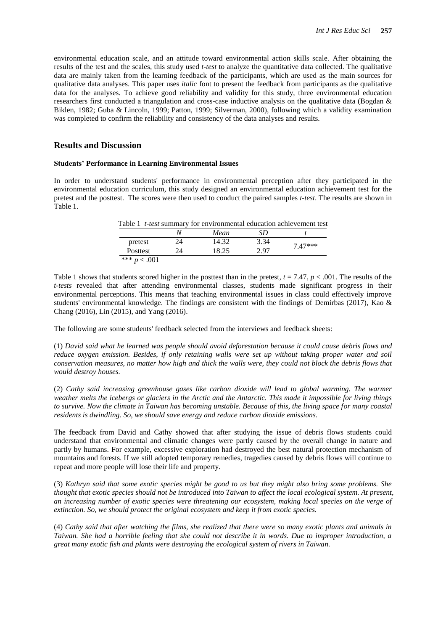environmental education scale, and an attitude toward environmental action skills scale. After obtaining the results of the test and the scales, this study used *t-test* to analyze the quantitative data collected. The qualitative data are mainly taken from the learning feedback of the participants, which are used as the main sources for qualitative data analyses. This paper uses *italic* font to present the feedback from participants as the qualitative data for the analyses. To achieve good reliability and validity for this study, three environmental education researchers first conducted a triangulation and cross-case inductive analysis on the qualitative data (Bogdan & Biklen, 1982; Guba & Lincoln, 1999; Patton, 1999; Silverman, 2000), following which a validity examination was completed to confirm the reliability and consistency of the data analyses and results.

## **Results and Discussion**

#### **Students' Performance in Learning Environmental Issues**

In order to understand students' performance in environmental perception after they participated in the environmental education curriculum, this study designed an environmental education achievement test for the pretest and the posttest. The scores were then used to conduct the paired samples *t-test*. The results are shown in Table 1.

| Table 1 <i>t-test</i> summary for environmental education achievement test |
|----------------------------------------------------------------------------|
|                                                                            |

|                |    | Mean  | SD   |           |
|----------------|----|-------|------|-----------|
| pretest        | 24 | 14.32 | 3.34 | $7.47***$ |
| Posttest       | 24 | 18.25 | 2.97 |           |
| *** $p < .001$ |    |       |      |           |

Table 1 shows that students scored higher in the posttest than in the pretest,  $t = 7.47$ ,  $p < .001$ . The results of the *t-tests* revealed that after attending environmental classes, students made significant progress in their environmental perceptions. This means that teaching environmental issues in class could effectively improve students' environmental knowledge. The findings are consistent with the findings of Demirbas (2017), Kao & Chang (2016), Lin (2015), and Yang (2016).

The following are some students' feedback selected from the interviews and feedback sheets:

(1) *David said what he learned was people should avoid deforestation because it could cause debris flows and reduce oxygen emission. Besides, if only retaining walls were set up without taking proper water and soil conservation measures, no matter how high and thick the walls were, they could not block the debris flows that would destroy houses.*

(2) *Cathy said increasing greenhouse gases like carbon dioxide will lead to global warming. The warmer weather melts the icebergs or glaciers in the Arctic and the Antarctic. This made it impossible for living things to survive. Now the climate in Taiwan has becoming unstable. Because of this, the living space for many coastal residents is dwindling. So, we should save energy and reduce carbon dioxide emissions.*

The feedback from David and Cathy showed that after studying the issue of debris flows students could understand that environmental and climatic changes were partly caused by the overall change in nature and partly by humans. For example, excessive exploration had destroyed the best natural protection mechanism of mountains and forests. If we still adopted temporary remedies, tragedies caused by debris flows will continue to repeat and more people will lose their life and property.

(3) *Kathryn said that some exotic species might be good to us but they might also bring some problems. She thought that exotic species should not be introduced into Taiwan to affect the local ecological system. At present, an increasing number of exotic species were threatening our ecosystem, making local species on the verge of extinction. So, we should protect the original ecosystem and keep it from exotic species.*

(4) *Cathy said that after watching the films, she realized that there were so many exotic plants and animals in Taiwan. She had a horrible feeling that she could not describe it in words. Due to improper introduction, a great many exotic fish and plants were destroying the ecological system of rivers in Taiwan.*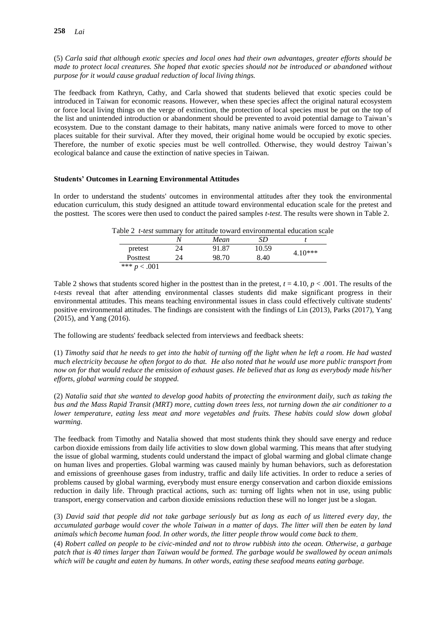(5) *Carla said that although exotic species and local ones had their own advantages, greater efforts should be made to protect local creatures. She hoped that exotic species should not be introduced or abandoned without purpose for it would cause gradual reduction of local living things.*

The feedback from Kathryn, Cathy, and Carla showed that students believed that exotic species could be introduced in Taiwan for economic reasons. However, when these species affect the original natural ecosystem or force local living things on the verge of extinction, the protection of local species must be put on the top of the list and unintended introduction or abandonment should be prevented to avoid potential damage to Taiwan's ecosystem. Due to the constant damage to their habitats, many native animals were forced to move to other places suitable for their survival. After they moved, their original home would be occupied by exotic species. Therefore, the number of exotic species must be well controlled. Otherwise, they would destroy Taiwan's ecological balance and cause the extinction of native species in Taiwan.

#### **Students' Outcomes in Learning Environmental Attitudes**

In order to understand the students' outcomes in environmental attitudes after they took the environmental education curriculum, this study designed an attitude toward environmental education scale for the pretest and the posttest. The scores were then used to conduct the paired samples *t-test*. The results were shown in Table 2.

|  |  | Table 2 <i>t-test</i> summary for attitude toward environmental education scale |  |  |  |  |  |
|--|--|---------------------------------------------------------------------------------|--|--|--|--|--|
|--|--|---------------------------------------------------------------------------------|--|--|--|--|--|

|                | .  |       |       |           |
|----------------|----|-------|-------|-----------|
|                | Ν  | Mean  | SD    |           |
| pretest        | 24 | 91.87 | 10.59 | $4.10***$ |
| Posttest       | 24 | 98.70 | 8.40  |           |
| *** $p < .001$ |    |       |       |           |

Table 2 shows that students scored higher in the posttest than in the pretest,  $t = 4.10$ ,  $p < .001$ . The results of the *t-tests* reveal that after attending environmental classes students did make significant progress in their environmental attitudes. This means teaching environmental issues in class could effectively cultivate students' positive environmental attitudes. The findings are consistent with the findings of Lin (2013), Parks (2017), Yang (2015), and Yang (2016).

The following are students' feedback selected from interviews and feedback sheets:

(1) *Timothy said that he needs to get into the habit of turning off the light when he left a room. He had wasted much electricity because he often forgot to do that. He also noted that he would use more public transport from now on for that would reduce the emission of exhaust gases. He believed that as long as everybody made his/her efforts, global warming could be stopped.*

(2) *Natalia said that she wanted to develop good habits of protecting the environment daily, such as taking the bus and the Mass Rapid Transit (MRT) more, cutting down trees less, not turning down the air conditioner to a lower temperature, eating less meat and more vegetables and fruits. These habits could slow down global warming.*

The feedback from Timothy and Natalia showed that most students think they should save energy and reduce carbon dioxide emissions from daily life activities to slow down global warming. This means that after studying the issue of global warming, students could understand the impact of global warming and global climate change on human lives and properties. Global warming was caused mainly by human behaviors, such as deforestation and emissions of greenhouse gases from industry, traffic and daily life activities. In order to reduce a series of problems caused by global warming, everybody must ensure energy conservation and carbon dioxide emissions reduction in daily life. Through practical actions, such as: turning off lights when not in use, using public transport, energy conservation and carbon dioxide emissions reduction these will no longer just be a slogan.

(3) *David said that people did not take garbage seriously but as long as each of us littered every day, the accumulated garbage would cover the whole Taiwan in a matter of days. The litter will then be eaten by land animals which become human food. In other words, the litter people throw would come back to them*.

(4) *Robert called on people to be civic-minded and not to throw rubbish into the ocean. Otherwise, a garbage patch that is 40 times larger than Taiwan would be formed. The garbage would be swallowed by ocean animals which will be caught and eaten by humans. In other words, eating these seafood means eating garbage.*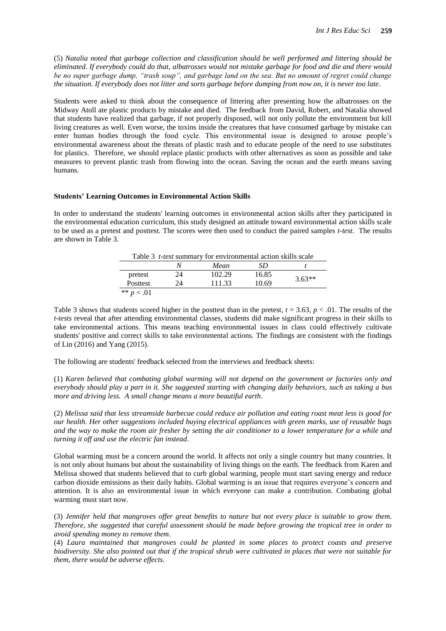(5) *Natalia noted that garbage collection and classification should be well performed and littering should be eliminated. If everybody could do that, albatrosses would not mistake garbage for food and die and there would be no super garbage dump, "trash soup", and garbage land on the sea. But no amount of regret could change the situation. If everybody does not litter and sorts garbage before dumping from now on, it is never too late*.

Students were asked to think about the consequence of littering after presenting how the albatrosses on the Midway Atoll ate plastic products by mistake and died. The feedback from David, Robert, and Natalia showed that students have realized that garbage, if not properly disposed, will not only pollute the environment but kill living creatures as well. Even worse, the toxins inside the creatures that have consumed garbage by mistake can enter human bodies through the food cycle. This environmental issue is designed to arouse people's environmental awareness about the threats of plastic trash and to educate people of the need to use substitutes for plastics. Therefore, we should replace plastic products with other alternatives as soon as possible and take measures to prevent plastic trash from flowing into the ocean. Saving the ocean and the earth means saving humans.

#### **Students' Learning Outcomes in Environmental Action Skills**

In order to understand the students' learning outcomes in environmental action skills after they participated in the environmental education curriculum, this study designed an attitude toward environmental action skills scale to be used as a pretest and posttest. The scores were then used to conduct the paired samples *t-test*. The results are shown in Table 3.

| Table 3 <i>t-test</i> summary for environmental action skills scale |    |        |       |          |
|---------------------------------------------------------------------|----|--------|-------|----------|
|                                                                     |    | Mean   | SD    |          |
| pretest                                                             | 24 | 102.29 | 16.85 | $3.63**$ |
| Posttest                                                            | 24 | 111.33 | 10.69 |          |
| ** $p < .01$                                                        |    |        |       |          |

Table 3 shows that students scored higher in the posttest than in the pretest,  $t = 3.63$ ,  $p < .01$ . The results of the *t-tests* reveal that after attending environmental classes, students did make significant progress in their skills to take environmental actions. This means teaching environmental issues in class could effectively cultivate students' positive and correct skills to take environmental actions. The findings are consistent with the findings of Lin (2016) and Yang (2015).

The following are students' feedback selected from the interviews and feedback sheets:

(1) *Karen believed that combating global warming will not depend on the government or factories only and everybody should play a part in it. She suggested starting with changing daily behaviors, such as taking a bus more and driving less. A small change means a more beautiful earth*.

(2) *Melissa said that less streamside barbecue could reduce air pollution and eating roast meat less is good for our health. Her other suggestions included buying electrical appliances with green marks, use of reusable bags and the way to make the room air fresher by setting the air conditioner to a lower temperature for a while and turning it off and use the electric fan instead*.

Global warming must be a concern around the world. It affects not only a single country but many countries. It is not only about humans but about the sustainability of living things on the earth. The feedback from Karen and Melissa showed that students believed that to curb global warming, people must start saving energy and reduce carbon dioxide emissions as their daily habits. Global warming is an issue that requires everyone's concern and attention. It is also an environmental issue in which everyone can make a contribution. Combating global warming must start now.

(3) *Jennifer held that mangroves offer great benefits to nature but not every place is suitable to grow them. Therefore, she suggested that careful assessment should be made before growing the tropical tree in order to avoid spending money to remove them*.

(4) *Laura maintained that mangroves could be planted in some places to protect coasts and preserve biodiversity. She also pointed out that if the tropical shrub were cultivated in places that were not suitable for them, there would be adverse effects.*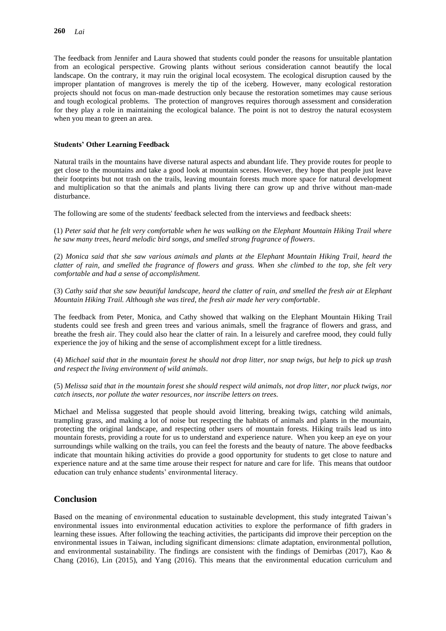The feedback from Jennifer and Laura showed that students could ponder the reasons for unsuitable plantation from an ecological perspective. Growing plants without serious consideration cannot beautify the local landscape. On the contrary, it may ruin the original local ecosystem. The ecological disruption caused by the improper plantation of mangroves is merely the tip of the iceberg. However, many ecological restoration projects should not focus on man-made destruction only because the restoration sometimes may cause serious and tough ecological problems. The protection of mangroves requires thorough assessment and consideration for they play a role in maintaining the ecological balance. The point is not to destroy the natural ecosystem when you mean to green an area.

#### **Students' Other Learning Feedback**

Natural trails in the mountains have diverse natural aspects and abundant life. They provide routes for people to get close to the mountains and take a good look at mountain scenes. However, they hope that people just leave their footprints but not trash on the trails, leaving mountain forests much more space for natural development and multiplication so that the animals and plants living there can grow up and thrive without man-made disturbance.

The following are some of the students' feedback selected from the interviews and feedback sheets:

(1) *Peter said that he felt very comfortable when he was walking on the Elephant Mountain Hiking Trail where he saw many trees, heard melodic bird songs, and smelled strong fragrance of flowers*.

(2) *Monica said that she saw various animals and plants at the Elephant Mountain Hiking Trail, heard the clatter of rain, and smelled the fragrance of flowers and grass. When she climbed to the top, she felt very comfortable and had a sense of accomplishment.*

(3) *Cathy said that she saw beautiful landscape, heard the clatter of rain, and smelled the fresh air at Elephant Mountain Hiking Trail. Although she was tired, the fresh air made her very comfortable*.

The feedback from Peter, Monica, and Cathy showed that walking on the Elephant Mountain Hiking Trail students could see fresh and green trees and various animals, smell the fragrance of flowers and grass, and breathe the fresh air. They could also hear the clatter of rain. In a leisurely and carefree mood, they could fully experience the joy of hiking and the sense of accomplishment except for a little tiredness.

(4) *Michael said that in the mountain forest he should not drop litter, nor snap twigs, but help to pick up trash and respect the living environment of wild animals*.

(5) *Melissa said that in the mountain forest she should respect wild animals, not drop litter, nor pluck twigs, nor catch insects, nor pollute the water resources, nor inscribe letters on trees.*

Michael and Melissa suggested that people should avoid littering, breaking twigs, catching wild animals, trampling grass, and making a lot of noise but respecting the habitats of animals and plants in the mountain, protecting the original landscape, and respecting other users of mountain forests. Hiking trails lead us into mountain forests, providing a route for us to understand and experience nature. When you keep an eye on your surroundings while walking on the trails, you can feel the forests and the beauty of nature. The above feedbacks indicate that mountain hiking activities do provide a good opportunity for students to get close to nature and experience nature and at the same time arouse their respect for nature and care for life. This means that outdoor education can truly enhance students' environmental literacy.

## **Conclusion**

Based on the meaning of environmental education to sustainable development, this study integrated Taiwan's environmental issues into environmental education activities to explore the performance of fifth graders in learning these issues. After following the teaching activities, the participants did improve their perception on the environmental issues in Taiwan, including significant dimensions: climate adaptation, environmental pollution, and environmental sustainability. The findings are consistent with the findings of Demirbas (2017), Kao & Chang (2016), Lin (2015), and Yang (2016). This means that the environmental education curriculum and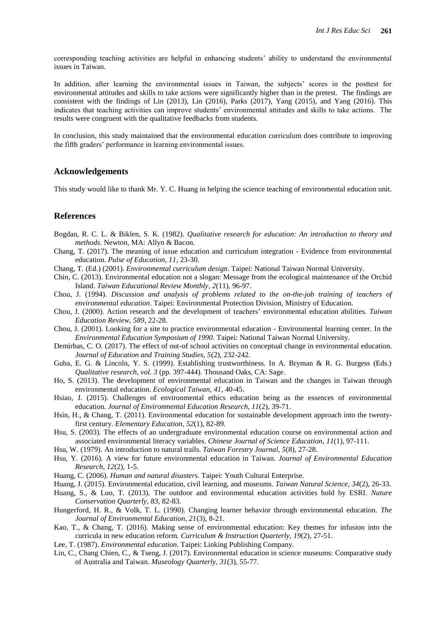corresponding teaching activities are helpful in enhancing students' ability to understand the environmental issues in Taiwan.

In addition, after learning the environmental issues in Taiwan, the subjects' scores in the posttest for environmental attitudes and skills to take actions were significantly higher than in the pretest. The findings are consistent with the findings of Lin (2013), Lin (2016), Parks (2017), Yang (2015), and Yang (2016). This indicates that teaching activities can improve students' environmental attitudes and skills to take actions. The results were congruent with the qualitative feedbacks from students.

In conclusion, this study maintained that the environmental education curriculum does contribute to improving the fifth graders' performance in learning environmental issues.

### **Acknowledgements**

This study would like to thank Mr. Y. C. Huang in helping the science teaching of environmental education unit.

## **References**

- Bogdan, R. C. L. & Biklen, S. K. (1982). *Qualitative research for education: An introduction to theory and methods*. Newton, MA: Allyn & Bacon.
- Chang, T. (2017). The meaning of issue education and curriculum integration Evidence from environmental education. *Pulse of Education, 11*, 23-30.
- Chang, T. (Ed.) (2001). *Environmental curriculum design*. Taipei: National Taiwan Normal University.
- Chin, C. (2013). Environmental education not a slogan: Message from the ecological maintenance of the Orchid Island. *Taiwan Educational Review Monthly*, *2*(11), 96-97.
- Chou, J. (1994). *Discussion and analysis of problems related to the on-the-job training of teachers of environmental education*. Taipei: Environmental Protection Division, Ministry of Education.
- Chou, J. (2000). Action research and the development of teachers' environmental education abilities. *Taiwan Education Review, 589*, 22-28.
- Chou, J. (2001). Looking for a site to practice environmental education Environmental learning center. In the *Environmental Education Symposium of 1990*. Taipei: National Taiwan Normal University.
- Demirbas, C. O. (2017). The effect of out-of school activities on conceptual change in environmental education. *Journal of Education and Training Studies, 5*(2), 232-242.
- Guba, E. G. & Lincoln, Y. S. (1999). Establishing trustworthiness. In A. Bryman & R. G. Burgess (Eds.) *Qualitative research, vol. 3* (pp. 397-444). Thousand Oaks, CA: Sage.
- Ho, S. (2013). The development of environmental education in Taiwan and the changes in Taiwan through environmental education. *Ecological Taiwan, 41*, 40-45.
- Hsiao, J. (2015). Challenges of environmental ethics education being as the essences of environmental education. *Journal of Environmental Education Research*, *11*(2), 39-71.
- Hsin, H., & Chang, T. (2011). Environmental education for sustainable development approach into the twentyfirst century. *Elementary Education*, *52*(1), 82-89.
- Hsu, S. (2003). The effects of an undergraduate environmental education course on environmental action and associated environmental literacy variables. *Chinese Journal of Science Education*, *11*(1), 97-111.
- Hsu, W. (1979). An introduction to natural trails. *Taiwan Forestry Journal*, *5*(8), 27-28.
- Hsu, Y. (2016). A view for future environmental education in Taiwan. *Journal of Environmental Education Research*, *12*(2), 1-5.
- Huang, C. (2006). *Human and natural disasters*. Taipei: Youth Cultural Enterprise.
- Huang, J. (2015). Environmental education, civil learning, and museums. *Taiwan Natural Science, 34*(2), 26-33.
- Huang, S., & Luo, T. (2013). The outdoor and environmental education activities hold by ESRI. *Nature Conservation Quarterly, 83*, 82-83.
- Hungerford, H. R., & Volk, T. L. (1990). Changing learner behavior through environmental education. *The Journal of Environmental Education, 21*(3), 8-21.
- Kao, T., & Chang, T. (2016). Making sense of environmental education: Key themes for infusion into the curricula in new education reform. *Curriculum & Instruction Quarterly, 19*(2), 27-51.
- Lee, T. (1987). *Environmental education*. Taipei: Linking Publishing Company.
- Lin, C., Chang Chien, C., & Tseng, J. (2017). Environmental education in science museums: Comparative study of Australia and Taiwan. *Museology Quarterly, 31*(3), 55-77.